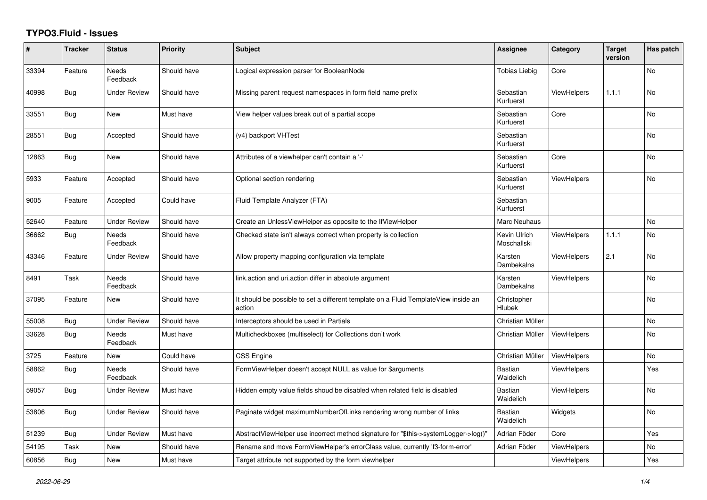## **TYPO3.Fluid - Issues**

| #     | <b>Tracker</b> | <b>Status</b>            | <b>Priority</b> | Subject                                                                                       | Assignee                    | Category           | <b>Target</b><br>version | Has patch      |
|-------|----------------|--------------------------|-----------------|-----------------------------------------------------------------------------------------------|-----------------------------|--------------------|--------------------------|----------------|
| 33394 | Feature        | <b>Needs</b><br>Feedback | Should have     | Logical expression parser for BooleanNode                                                     | <b>Tobias Liebig</b>        | Core               |                          | <b>No</b>      |
| 40998 | <b>Bug</b>     | <b>Under Review</b>      | Should have     | Missing parent request namespaces in form field name prefix                                   | Sebastian<br>Kurfuerst      | <b>ViewHelpers</b> | 1.1.1                    | N <sub>o</sub> |
| 33551 | <b>Bug</b>     | New                      | Must have       | View helper values break out of a partial scope                                               | Sebastian<br>Kurfuerst      | Core               |                          | No             |
| 28551 | Bug            | Accepted                 | Should have     | (v4) backport VHTest                                                                          | Sebastian<br>Kurfuerst      |                    |                          | No             |
| 12863 | <b>Bug</b>     | <b>New</b>               | Should have     | Attributes of a viewhelper can't contain a '-'                                                | Sebastian<br>Kurfuerst      | Core               |                          | <b>No</b>      |
| 5933  | Feature        | Accepted                 | Should have     | Optional section rendering                                                                    | Sebastian<br>Kurfuerst      | ViewHelpers        |                          | <b>No</b>      |
| 9005  | Feature        | Accepted                 | Could have      | Fluid Template Analyzer (FTA)                                                                 | Sebastian<br>Kurfuerst      |                    |                          |                |
| 52640 | Feature        | <b>Under Review</b>      | Should have     | Create an UnlessViewHelper as opposite to the IfViewHelper                                    | Marc Neuhaus                |                    |                          | No             |
| 36662 | Bug            | <b>Needs</b><br>Feedback | Should have     | Checked state isn't always correct when property is collection                                | Kevin Ulrich<br>Moschallski | <b>ViewHelpers</b> | 1.1.1                    | <b>No</b>      |
| 43346 | Feature        | <b>Under Review</b>      | Should have     | Allow property mapping configuration via template                                             | Karsten<br>Dambekalns       | <b>ViewHelpers</b> | 2.1                      | No             |
| 8491  | Task           | Needs<br>Feedback        | Should have     | link.action and uri.action differ in absolute argument                                        | Karsten<br>Dambekalns       | <b>ViewHelpers</b> |                          | No             |
| 37095 | Feature        | New                      | Should have     | It should be possible to set a different template on a Fluid TemplateView inside an<br>action | Christopher<br>Hlubek       |                    |                          | <b>No</b>      |
| 55008 | Bug            | <b>Under Review</b>      | Should have     | Interceptors should be used in Partials                                                       | Christian Müller            |                    |                          | <b>No</b>      |
| 33628 | Bug            | Needs<br>Feedback        | Must have       | Multicheckboxes (multiselect) for Collections don't work                                      | Christian Müller            | <b>ViewHelpers</b> |                          | No             |
| 3725  | Feature        | New                      | Could have      | CSS Engine                                                                                    | Christian Müller            | ViewHelpers        |                          | No             |
| 58862 | <b>Bug</b>     | <b>Needs</b><br>Feedback | Should have     | FormViewHelper doesn't accept NULL as value for \$arguments                                   | Bastian<br>Waidelich        | <b>ViewHelpers</b> |                          | Yes            |
| 59057 | <b>Bug</b>     | Under Review             | Must have       | Hidden empty value fields shoud be disabled when related field is disabled                    | Bastian<br>Waidelich        | <b>ViewHelpers</b> |                          | No             |
| 53806 | Bug            | Under Review             | Should have     | Paginate widget maximumNumberOfLinks rendering wrong number of links                          | Bastian<br>Waidelich        | Widgets            |                          | No             |
| 51239 | Bug            | <b>Under Review</b>      | Must have       | AbstractViewHelper use incorrect method signature for "\$this->systemLogger->log()"           | Adrian Föder                | Core               |                          | Yes            |
| 54195 | Task           | New                      | Should have     | Rename and move FormViewHelper's errorClass value, currently 'f3-form-error'                  | Adrian Föder                | ViewHelpers        |                          | No             |
| 60856 | Bug            | New                      | Must have       | Target attribute not supported by the form viewhelper                                         |                             | <b>ViewHelpers</b> |                          | Yes            |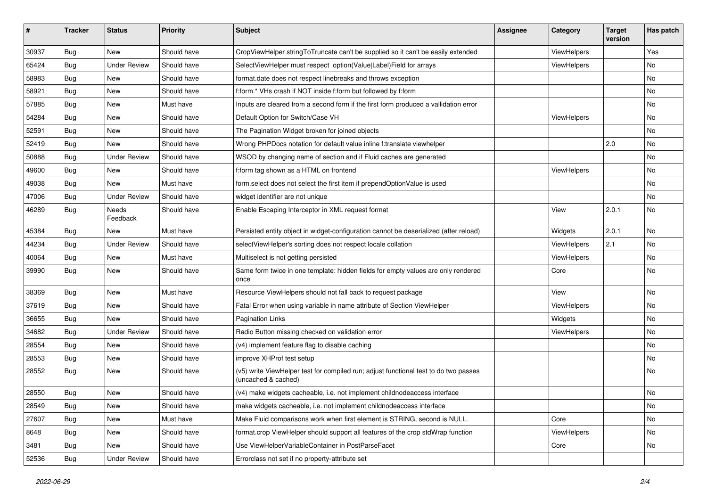| ∦     | <b>Tracker</b> | <b>Status</b>       | <b>Priority</b> | Subject                                                                                                     | <b>Assignee</b> | Category    | <b>Target</b><br>version | Has patch |
|-------|----------------|---------------------|-----------------|-------------------------------------------------------------------------------------------------------------|-----------------|-------------|--------------------------|-----------|
| 30937 | Bug            | New                 | Should have     | CropViewHelper stringToTruncate can't be supplied so it can't be easily extended                            |                 | ViewHelpers |                          | Yes       |
| 65424 | Bug            | <b>Under Review</b> | Should have     | SelectViewHelper must respect option(Value Label)Field for arrays                                           |                 | ViewHelpers |                          | No        |
| 58983 | Bug            | New                 | Should have     | format.date does not respect linebreaks and throws exception                                                |                 |             |                          | No        |
| 58921 | Bug            | New                 | Should have     | f:form.* VHs crash if NOT inside f:form but followed by f:form                                              |                 |             |                          | No        |
| 57885 | Bug            | New                 | Must have       | Inputs are cleared from a second form if the first form produced a vallidation error                        |                 |             |                          | No        |
| 54284 | Bug            | New                 | Should have     | Default Option for Switch/Case VH                                                                           |                 | ViewHelpers |                          | No        |
| 52591 | Bug            | New                 | Should have     | The Pagination Widget broken for joined objects                                                             |                 |             |                          | No        |
| 52419 | Bug            | New                 | Should have     | Wrong PHPDocs notation for default value inline f:translate viewhelper                                      |                 |             | 2.0                      | No        |
| 50888 | Bug            | <b>Under Review</b> | Should have     | WSOD by changing name of section and if Fluid caches are generated                                          |                 |             |                          | No        |
| 49600 | Bug            | New                 | Should have     | f:form tag shown as a HTML on frontend                                                                      |                 | ViewHelpers |                          | No        |
| 49038 | Bug            | New                 | Must have       | form.select does not select the first item if prependOptionValue is used                                    |                 |             |                          | No        |
| 47006 | Bug            | <b>Under Review</b> | Should have     | widget identifier are not unique                                                                            |                 |             |                          | No        |
| 46289 | Bug            | Needs<br>Feedback   | Should have     | Enable Escaping Interceptor in XML request format                                                           |                 | View        | 2.0.1                    | No        |
| 45384 | Bug            | New                 | Must have       | Persisted entity object in widget-configuration cannot be deserialized (after reload)                       |                 | Widgets     | 2.0.1                    | No        |
| 44234 | Bug            | <b>Under Review</b> | Should have     | selectViewHelper's sorting does not respect locale collation                                                |                 | ViewHelpers | 2.1                      | No        |
| 40064 | Bug            | New                 | Must have       | Multiselect is not getting persisted                                                                        |                 | ViewHelpers |                          | No        |
| 39990 | Bug            | New                 | Should have     | Same form twice in one template: hidden fields for empty values are only rendered<br>once                   |                 | Core        |                          | No        |
| 38369 | Bug            | New                 | Must have       | Resource ViewHelpers should not fall back to request package                                                |                 | View        |                          | No        |
| 37619 | Bug            | New                 | Should have     | Fatal Error when using variable in name attribute of Section ViewHelper                                     |                 | ViewHelpers |                          | No        |
| 36655 | Bug            | <b>New</b>          | Should have     | <b>Pagination Links</b>                                                                                     |                 | Widgets     |                          | No        |
| 34682 | Bug            | <b>Under Review</b> | Should have     | Radio Button missing checked on validation error                                                            |                 | ViewHelpers |                          | No        |
| 28554 | Bug            | New                 | Should have     | (v4) implement feature flag to disable caching                                                              |                 |             |                          | No        |
| 28553 | Bug            | New                 | Should have     | improve XHProf test setup                                                                                   |                 |             |                          | No        |
| 28552 | Bug            | New                 | Should have     | (v5) write ViewHelper test for compiled run; adjust functional test to do two passes<br>(uncached & cached) |                 |             |                          | No        |
| 28550 | Bug            | New                 | Should have     | (v4) make widgets cacheable, i.e. not implement childnodeaccess interface                                   |                 |             |                          | No        |
| 28549 | <b>Bug</b>     | New                 | Should have     | make widgets cacheable, i.e. not implement childnodeaccess interface                                        |                 |             |                          | No        |
| 27607 | <b>Bug</b>     | New                 | Must have       | Make Fluid comparisons work when first element is STRING, second is NULL.                                   |                 | Core        |                          | No        |
| 8648  | <b>Bug</b>     | New                 | Should have     | format.crop ViewHelper should support all features of the crop stdWrap function                             |                 | ViewHelpers |                          | No        |
| 3481  | Bug            | New                 | Should have     | Use ViewHelperVariableContainer in PostParseFacet                                                           |                 | Core        |                          | No        |
| 52536 | <b>Bug</b>     | <b>Under Review</b> | Should have     | Errorclass not set if no property-attribute set                                                             |                 |             |                          |           |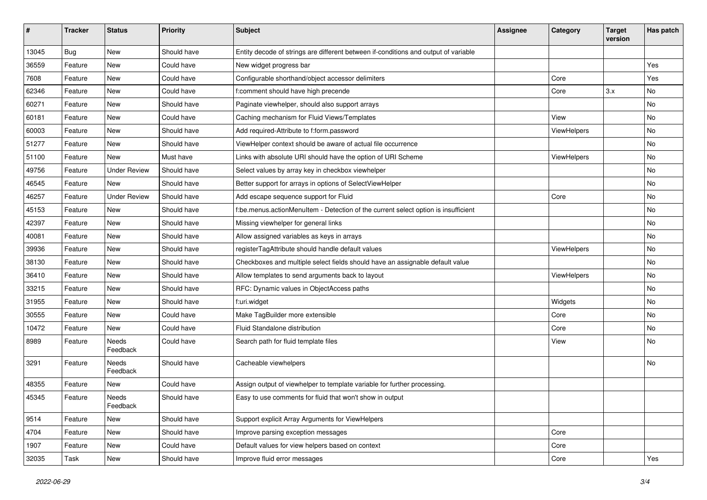| $\pmb{\#}$ | <b>Tracker</b> | <b>Status</b>       | <b>Priority</b> | Subject                                                                             | <b>Assignee</b> | Category    | <b>Target</b><br>version | Has patch |
|------------|----------------|---------------------|-----------------|-------------------------------------------------------------------------------------|-----------------|-------------|--------------------------|-----------|
| 13045      | Bug            | <b>New</b>          | Should have     | Entity decode of strings are different between if-conditions and output of variable |                 |             |                          |           |
| 36559      | Feature        | New                 | Could have      | New widget progress bar                                                             |                 |             |                          | Yes       |
| 7608       | Feature        | New                 | Could have      | Configurable shorthand/object accessor delimiters                                   |                 | Core        |                          | Yes       |
| 62346      | Feature        | New                 | Could have      | f:comment should have high precende                                                 |                 | Core        | 3.x                      | No        |
| 60271      | Feature        | New                 | Should have     | Paginate viewhelper, should also support arrays                                     |                 |             |                          | No        |
| 60181      | Feature        | New                 | Could have      | Caching mechanism for Fluid Views/Templates                                         |                 | View        |                          | No        |
| 60003      | Feature        | New                 | Should have     | Add required-Attribute to f:form.password                                           |                 | ViewHelpers |                          | No        |
| 51277      | Feature        | New                 | Should have     | ViewHelper context should be aware of actual file occurrence                        |                 |             |                          | No        |
| 51100      | Feature        | New                 | Must have       | Links with absolute URI should have the option of URI Scheme                        |                 | ViewHelpers |                          | No        |
| 49756      | Feature        | <b>Under Review</b> | Should have     | Select values by array key in checkbox viewhelper                                   |                 |             |                          | No        |
| 46545      | Feature        | New                 | Should have     | Better support for arrays in options of SelectViewHelper                            |                 |             |                          | <b>No</b> |
| 46257      | Feature        | <b>Under Review</b> | Should have     | Add escape sequence support for Fluid                                               |                 | Core        |                          | No        |
| 45153      | Feature        | <b>New</b>          | Should have     | f:be.menus.actionMenuItem - Detection of the current select option is insufficient  |                 |             |                          | No        |
| 42397      | Feature        | <b>New</b>          | Should have     | Missing viewhelper for general links                                                |                 |             |                          | No        |
| 40081      | Feature        | New                 | Should have     | Allow assigned variables as keys in arrays                                          |                 |             |                          | No        |
| 39936      | Feature        | New                 | Should have     | registerTagAttribute should handle default values                                   |                 | ViewHelpers |                          | <b>No</b> |
| 38130      | Feature        | New                 | Should have     | Checkboxes and multiple select fields should have an assignable default value       |                 |             |                          | No        |
| 36410      | Feature        | New                 | Should have     | Allow templates to send arguments back to layout                                    |                 | ViewHelpers |                          | No        |
| 33215      | Feature        | <b>New</b>          | Should have     | RFC: Dynamic values in ObjectAccess paths                                           |                 |             |                          | No        |
| 31955      | Feature        | New                 | Should have     | f:uri.widget                                                                        |                 | Widgets     |                          | No        |
| 30555      | Feature        | New                 | Could have      | Make TagBuilder more extensible                                                     |                 | Core        |                          | No        |
| 10472      | Feature        | New                 | Could have      | Fluid Standalone distribution                                                       |                 | Core        |                          | No        |
| 8989       | Feature        | Needs<br>Feedback   | Could have      | Search path for fluid template files                                                |                 | View        |                          | No        |
| 3291       | Feature        | Needs<br>Feedback   | Should have     | Cacheable viewhelpers                                                               |                 |             |                          | No        |
| 48355      | Feature        | <b>New</b>          | Could have      | Assign output of viewhelper to template variable for further processing.            |                 |             |                          |           |
| 45345      | Feature        | Needs<br>Feedback   | Should have     | Easy to use comments for fluid that won't show in output                            |                 |             |                          |           |
| 9514       | Feature        | New                 | Should have     | Support explicit Array Arguments for ViewHelpers                                    |                 |             |                          |           |
| 4704       | Feature        | New                 | Should have     | Improve parsing exception messages                                                  |                 | Core        |                          |           |
| 1907       | Feature        | New                 | Could have      | Default values for view helpers based on context                                    |                 | Core        |                          |           |
| 32035      | Task           | New                 | Should have     | Improve fluid error messages                                                        |                 | Core        |                          | Yes       |